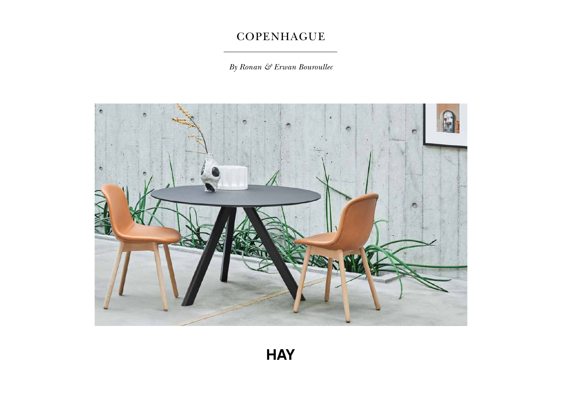*By Ronan & Erwan Bouroullec*

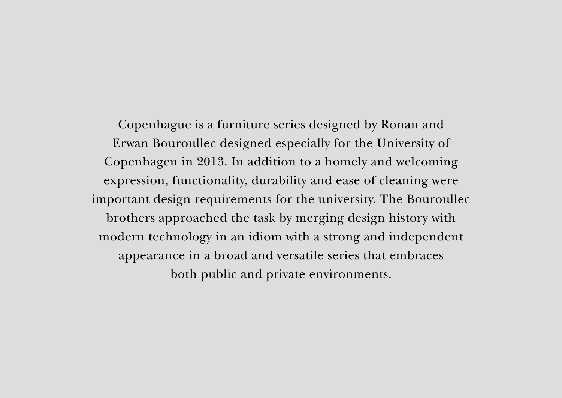Copenhague is a furniture series designed by Ronan and Erwan Bouroullec designed especially for the University of Copenhagen in 2013. In addition to a homely and welcoming expression, functionality, durability and ease of cleaning were important design requirements for the university. The Bouroullec brothers approached the task by merging design history with modern technology in an idiom with a strong and independent appearance in a broad and versatile series that embraces both public and private environments.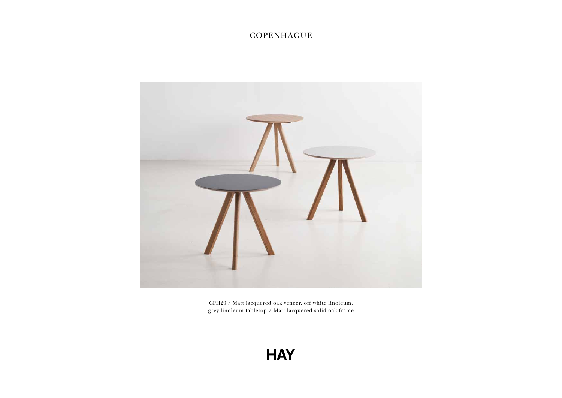

CPH20 / Matt lacquered oak veneer, off white linoleum, grey linoleum tabletop / Matt lacquered solid oak frame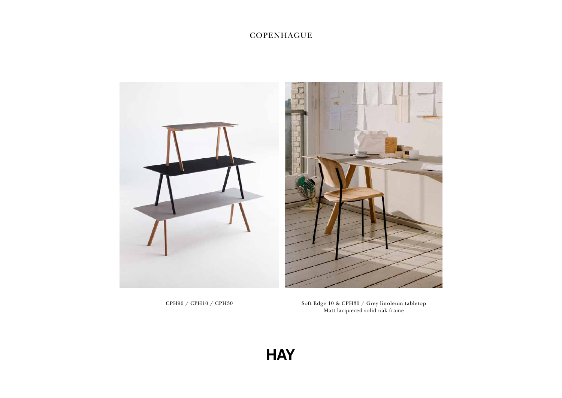

CPH90 / CPH10 / CPH30 Soft Edge 10 & CPH30 / Grey linoleum tabletop  $\check{}$  Matt lacquered solid oak frame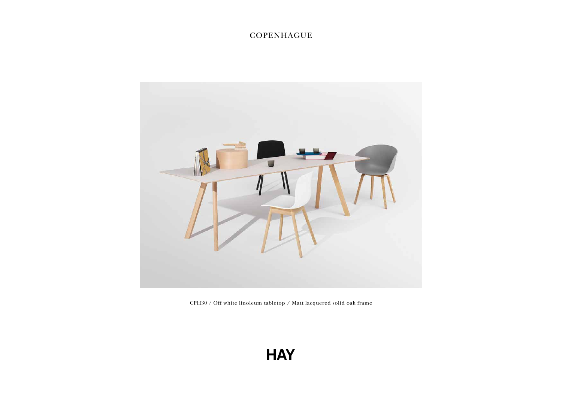

CPH30 / Off white linoleum tabletop / Matt lacquered solid oak frame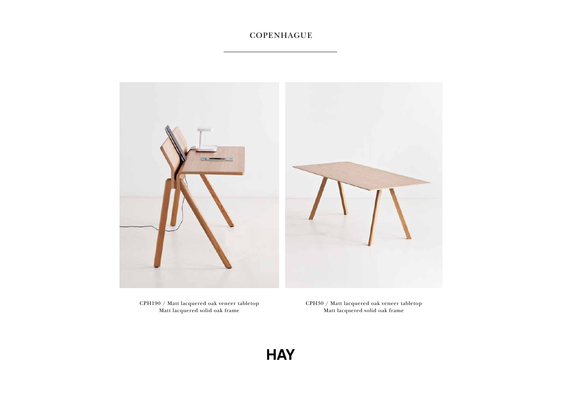

CPH190 / Matt lacquered oak veneer tabletop Matt lacquered solid oak frame

CPH30 / Matt lacquered oak veneer tabletop Matt lacquered solid oak frame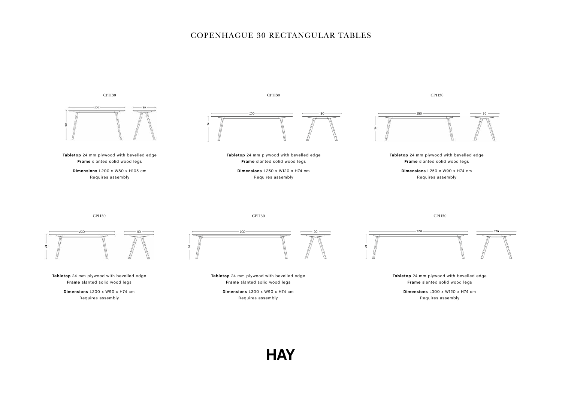#### COPENHAGUE 30 RECTANGULAR TABLES

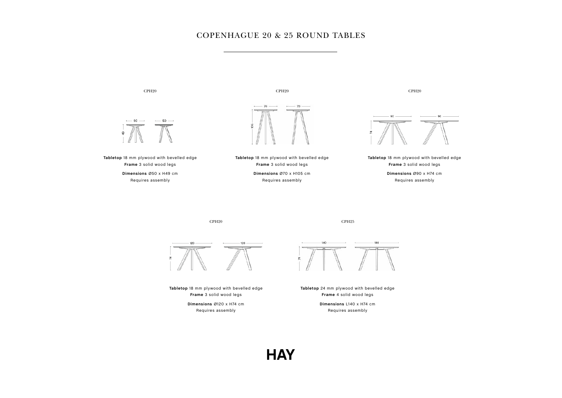#### COPENHAGUE 20 & 25 ROUND TABLES

CPH20



**Tabletop** 18 mm plywood with bevelled edge **Frame** 3 solid wood legs **Dimensions** Ø50 x H49 cm Requires assembly



CPH20

**Tabletop** 18 mm plywood with bevelled edge **Frame** 3 solid wood legs

**Dimensions** Ø70 x H105 cm Requires assembly

CPH20



**Tabletop** 18 mm plywood with bevelled edge **Frame** 3 solid wood legs **Dimensions** Ø90 x H74 cm

Requires assembly

CPH20





**Tabletop** 18 mm plywood with bevelled edge **Frame** 3 solid wood legs

> **Dimensions** Ø120 x H74 cm Requires assembly



**Tabletop** 24 mm plywood with bevelled edge **Frame** 4 solid wood legs

> **Dimensions** L140 x H74 cm Requires assembly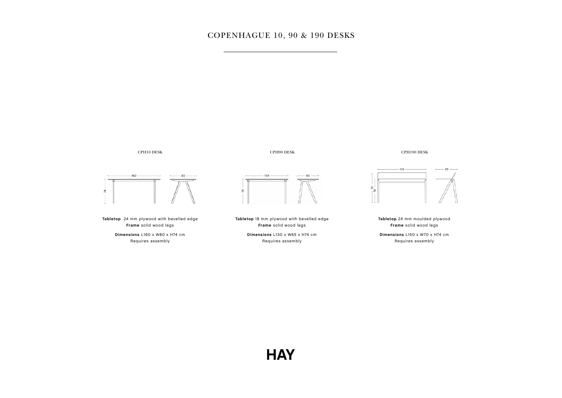#### COPENHAGUE 10, 90 & 190 DESKS





**Tabletop** 24 mm plywood with bevelled edge **Frame** solid wood legs **Dimensions** L160 x W80 x H74 cm Requires assembly





**Tabletop** 18 mm plywood with bevelled edge **Frame** solid wood legs **Dimensions** L130 x W65 x H74 cm Requires assembly

CPH190 DESK



**Tabletop** 24 mm moulded plywood **Frame** solid wood legs **Dimensions** L150 x W70 x H74 cm Requires assembly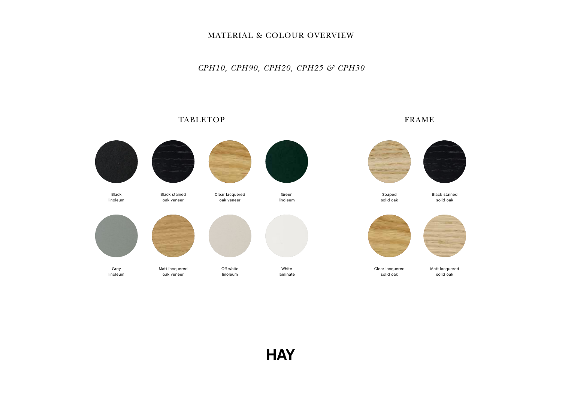#### MATERIAL & COLOUR OVERVIEW

*CPH10, CPH90, CPH20, CPH25 & CPH30*

#### TABLETOP FRAME

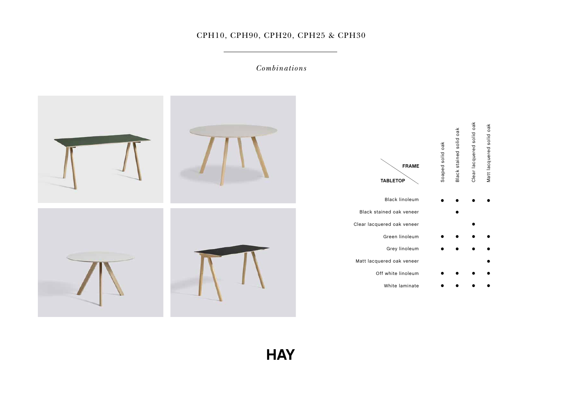#### CPH10, CPH90, CPH20, CPH25 & CPH30

*Combinations*

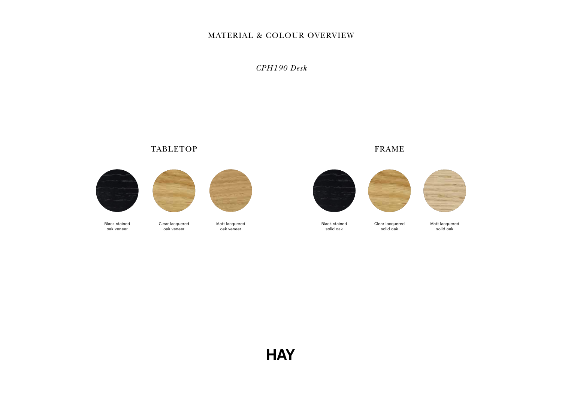#### MATERIAL & COLOUR OVERVIEW

*CPH190 Desk*

#### TABLETOP FRAME





Clear lacquered oak veneer



Matt lacquered oak veneer



Black stained solid oak

Clear lacquered solid oak



Matt lacquered solid oak

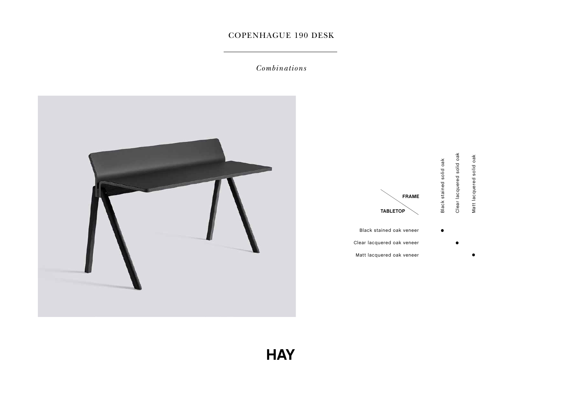#### COPENHAGUE 190 DESK

*Combinations*